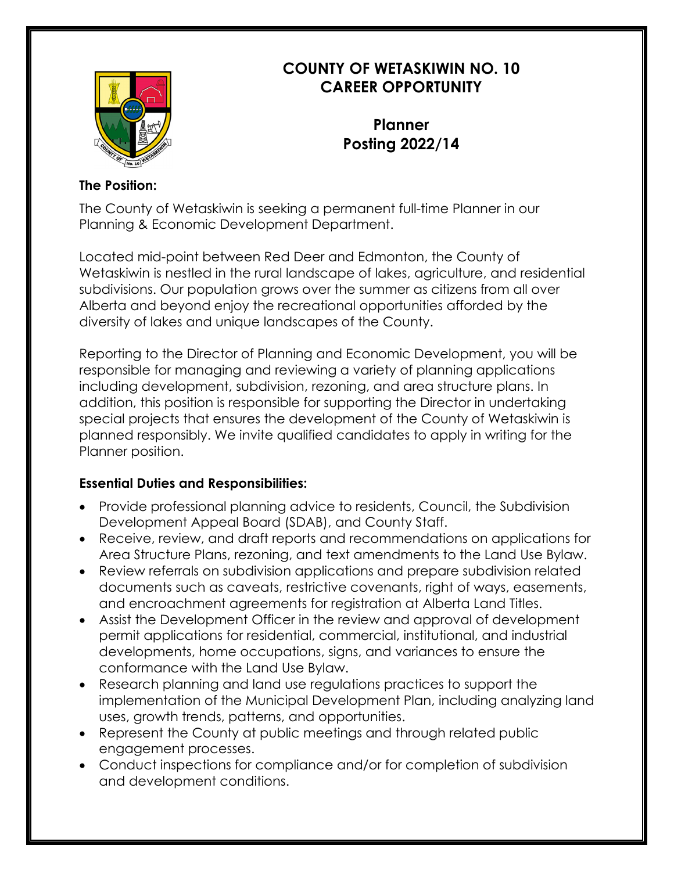

## **COUNTY OF WETASKIWIN NO. 10 CAREER OPPORTUNITY**

**Planner Posting 2022/14**

## **The Position:**

The County of Wetaskiwin is seeking a permanent full-time Planner in our Planning & Economic Development Department.

Located mid-point between Red Deer and Edmonton, the County of Wetaskiwin is nestled in the rural landscape of lakes, agriculture, and residential subdivisions. Our population grows over the summer as citizens from all over Alberta and beyond enjoy the recreational opportunities afforded by the diversity of lakes and unique landscapes of the County.

Reporting to the Director of Planning and Economic Development, you will be responsible for managing and reviewing a variety of planning applications including development, subdivision, rezoning, and area structure plans. In addition, this position is responsible for supporting the Director in undertaking special projects that ensures the development of the County of Wetaskiwin is planned responsibly. We invite qualified candidates to apply in writing for the Planner position.

## **Essential Duties and Responsibilities:**

- Provide professional planning advice to residents, Council, the Subdivision Development Appeal Board (SDAB), and County Staff.
- Receive, review, and draft reports and recommendations on applications for Area Structure Plans, rezoning, and text amendments to the Land Use Bylaw.
- Review referrals on subdivision applications and prepare subdivision related documents such as caveats, restrictive covenants, right of ways, easements, and encroachment agreements for registration at Alberta Land Titles.
- Assist the Development Officer in the review and approval of development permit applications for residential, commercial, institutional, and industrial developments, home occupations, signs, and variances to ensure the conformance with the Land Use Bylaw.
- Research planning and land use regulations practices to support the implementation of the Municipal Development Plan, including analyzing land uses, growth trends, patterns, and opportunities.
- Represent the County at public meetings and through related public engagement processes.
- Conduct inspections for compliance and/or for completion of subdivision and development conditions.